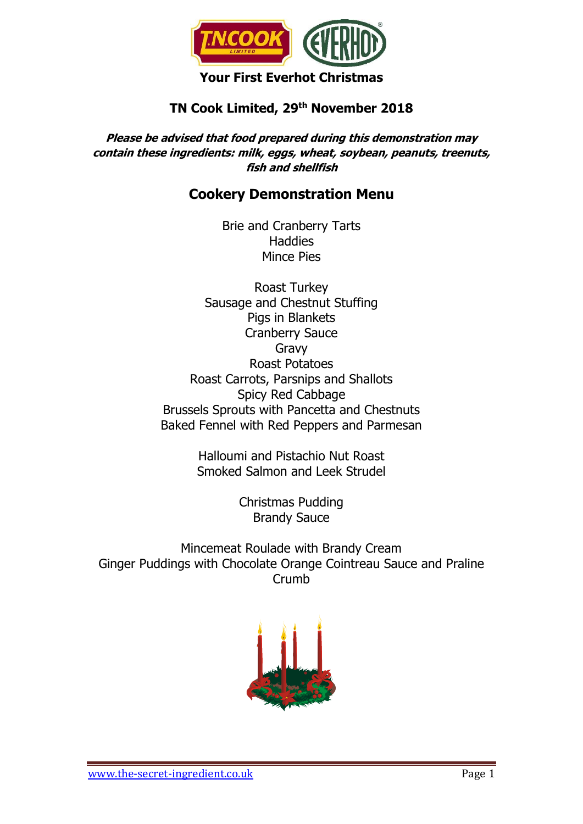

# **TN Cook Limited, 29th November 2018**

**Please be advised that food prepared during this demonstration may contain these ingredients: milk, eggs, wheat, soybean, peanuts, treenuts, fish and shellfish**

# **Cookery Demonstration Menu**

Brie and Cranberry Tarts **Haddies** Mince Pies

Roast Turkey Sausage and Chestnut Stuffing Pigs in Blankets Cranberry Sauce Gravy Roast Potatoes Roast Carrots, Parsnips and Shallots Spicy Red Cabbage Brussels Sprouts with Pancetta and Chestnuts Baked Fennel with Red Peppers and Parmesan

> Halloumi and Pistachio Nut Roast Smoked Salmon and Leek Strudel

> > Christmas Pudding Brandy Sauce

Mincemeat Roulade with Brandy Cream Ginger Puddings with Chocolate Orange Cointreau Sauce and Praline Crumb

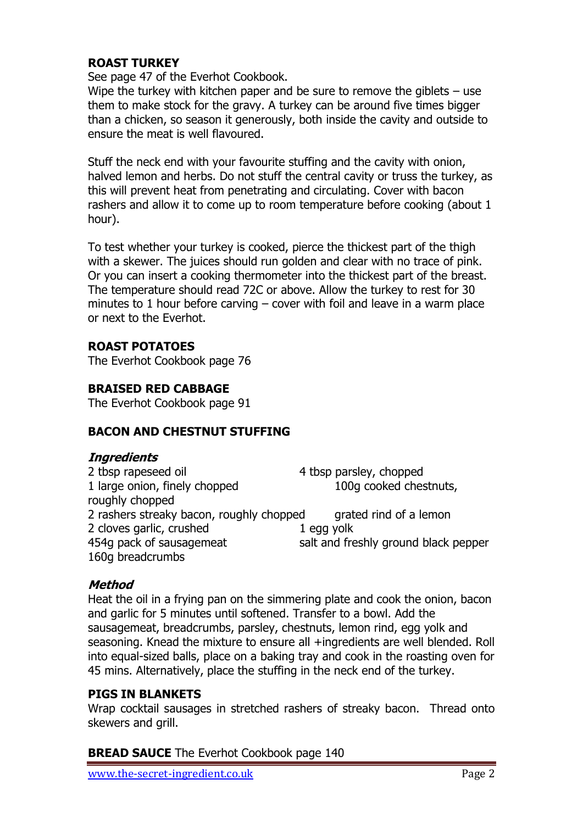## **ROAST TURKEY**

See page 47 of the Everhot Cookbook.

Wipe the turkey with kitchen paper and be sure to remove the giblets  $-$  use them to make stock for the gravy. A turkey can be around five times bigger than a chicken, so season it generously, both inside the cavity and outside to ensure the meat is well flavoured.

Stuff the neck end with your favourite stuffing and the cavity with onion, halved lemon and herbs. Do not stuff the central cavity or truss the turkey, as this will prevent heat from penetrating and circulating. Cover with bacon rashers and allow it to come up to room temperature before cooking (about 1 hour).

To test whether your turkey is cooked, pierce the thickest part of the thigh with a skewer. The juices should run golden and clear with no trace of pink. Or you can insert a cooking thermometer into the thickest part of the breast. The temperature should read 72C or above. Allow the turkey to rest for 30 minutes to 1 hour before carving – cover with foil and leave in a warm place or next to the Everhot.

## **ROAST POTATOES**

The Everhot Cookbook page 76

### **BRAISED RED CABBAGE**

The Everhot Cookbook page 91

### **BACON AND CHESTNUT STUFFING**

### **Ingredients**

2 tbsp rapeseed oil 4 tbsp parsley, chopped 1 large onion, finely chopped 100g cooked chestnuts, roughly chopped 2 rashers streaky bacon, roughly chopped grated rind of a lemon 2 cloves garlic, crushed 1 egg yolk 454g pack of sausagemeat salt and freshly ground black pepper 160g breadcrumbs

### **Method**

Heat the oil in a frying pan on the simmering plate and cook the onion, bacon and garlic for 5 minutes until softened. Transfer to a bowl. Add the sausagemeat, breadcrumbs, parsley, chestnuts, lemon rind, egg yolk and seasoning. Knead the mixture to ensure all +ingredients are well blended. Roll into equal-sized balls, place on a baking tray and cook in the roasting oven for 45 mins. Alternatively, place the stuffing in the neck end of the turkey.

### **PIGS IN BLANKETS**

Wrap cocktail sausages in stretched rashers of streaky bacon. Thread onto skewers and grill.

### **BREAD SAUCE** The Everhot Cookbook page 140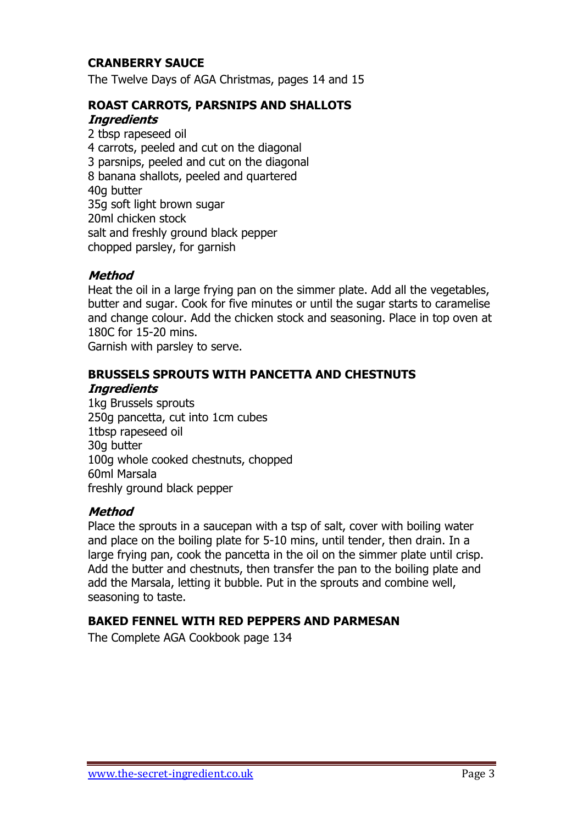### **CRANBERRY SAUCE**

The Twelve Days of AGA Christmas, pages 14 and 15

## **ROAST CARROTS, PARSNIPS AND SHALLOTS**

#### **Ingredients**

2 tbsp rapeseed oil 4 carrots, peeled and cut on the diagonal 3 parsnips, peeled and cut on the diagonal 8 banana shallots, peeled and quartered 40g butter 35g soft light brown sugar 20ml chicken stock salt and freshly ground black pepper chopped parsley, for garnish

## **Method**

Heat the oil in a large frying pan on the simmer plate. Add all the vegetables, butter and sugar. Cook for five minutes or until the sugar starts to caramelise and change colour. Add the chicken stock and seasoning. Place in top oven at 180C for 15-20 mins.

Garnish with parsley to serve.

### **BRUSSELS SPROUTS WITH PANCETTA AND CHESTNUTS**

#### **Ingredients**

1kg Brussels sprouts 250g pancetta, cut into 1cm cubes 1tbsp rapeseed oil 30g butter 100g whole cooked chestnuts, chopped 60ml Marsala freshly ground black pepper

### **Method**

Place the sprouts in a saucepan with a tsp of salt, cover with boiling water and place on the boiling plate for 5-10 mins, until tender, then drain. In a large frying pan, cook the pancetta in the oil on the simmer plate until crisp. Add the butter and chestnuts, then transfer the pan to the boiling plate and add the Marsala, letting it bubble. Put in the sprouts and combine well, seasoning to taste.

### **BAKED FENNEL WITH RED PEPPERS AND PARMESAN**

The Complete AGA Cookbook page 134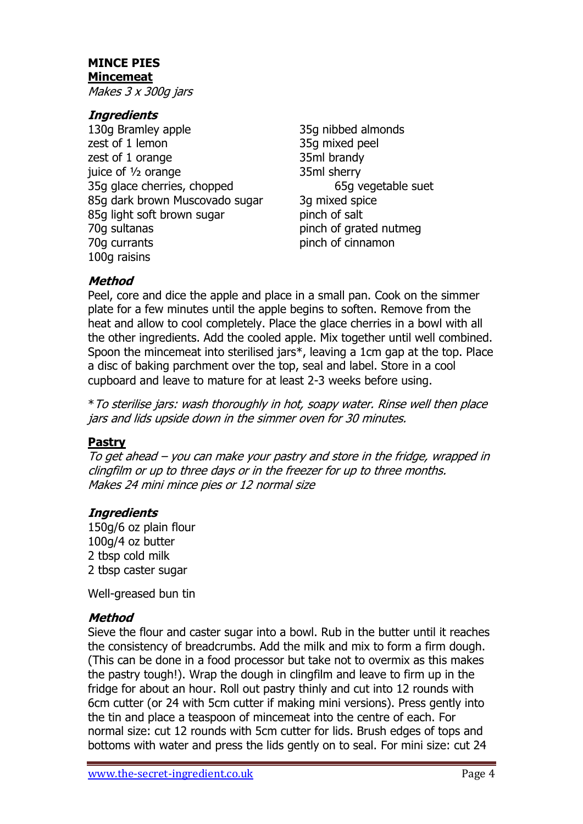## **MINCE PIES Mincemeat**

Makes 3 x 300g jars

## **Ingredients**

- 130g Bramley apple 35g nibbed almonds zest of 1 lemon 35g mixed peel zest of 1 orange 35ml brandy juice of <sup>1</sup>/<sub>2</sub> orange 35ml sherry 35g glace cherries, chopped 65g vegetable suet 85g dark brown Muscovado sugar 3g mixed spice 85g light soft brown sugar binch of salt 70g sultanas pinch of grated nutmeg 70g currants **pinch** of cinnamon 100g raisins
- 

## **Method**

Peel, core and dice the apple and place in a small pan. Cook on the simmer plate for a few minutes until the apple begins to soften. Remove from the heat and allow to cool completely. Place the glace cherries in a bowl with all the other ingredients. Add the cooled apple. Mix together until well combined. Spoon the mincemeat into sterilised jars\*, leaving a 1cm gap at the top. Place a disc of baking parchment over the top, seal and label. Store in a cool cupboard and leave to mature for at least 2-3 weeks before using.

\*To sterilise jars: wash thoroughly in hot, soapy water. Rinse well then place jars and lids upside down in the simmer oven for 30 minutes.

### **Pastry**

To get ahead – you can make your pastry and store in the fridge, wrapped in clingfilm or up to three days or in the freezer for up to three months. Makes 24 mini mince pies or 12 normal size

## **Ingredients**

150g/6 oz plain flour 100g/4 oz butter 2 tbsp cold milk 2 tbsp caster sugar

Well-greased bun tin

## **Method**

Sieve the flour and caster sugar into a bowl. Rub in the butter until it reaches the consistency of breadcrumbs. Add the milk and mix to form a firm dough. (This can be done in a food processor but take not to overmix as this makes the pastry tough!). Wrap the dough in clingfilm and leave to firm up in the fridge for about an hour. Roll out pastry thinly and cut into 12 rounds with 6cm cutter (or 24 with 5cm cutter if making mini versions). Press gently into the tin and place a teaspoon of mincemeat into the centre of each. For normal size: cut 12 rounds with 5cm cutter for lids. Brush edges of tops and bottoms with water and press the lids gently on to seal. For mini size: cut 24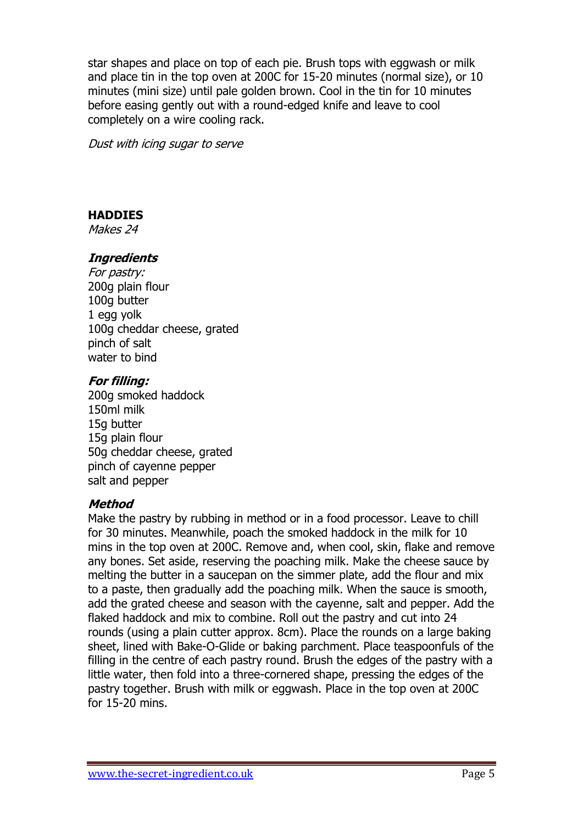star shapes and place on top of each pie. Brush tops with eggwash or milk and place tin in the top oven at 200C for 15-20 minutes (normal size), or 10 minutes (mini size) until pale golden brown. Cool in the tin for 10 minutes before easing gently out with a round-edged knife and leave to cool completely on a wire cooling rack.

Dust with icing sugar to serve

## **HADDIES**

Makes 24

## **Ingredients**

For pastry: 200g plain flour 100g butter 1 egg yolk 100g cheddar cheese, grated pinch of salt water to bind

### **For filling:**

200g smoked haddock 150ml milk 15g butter 15g plain flour 50g cheddar cheese, grated pinch of cayenne pepper salt and pepper

### **Method**

Make the pastry by rubbing in method or in a food processor. Leave to chill for 30 minutes. Meanwhile, poach the smoked haddock in the milk for 10 mins in the top oven at 200C. Remove and, when cool, skin, flake and remove any bones. Set aside, reserving the poaching milk. Make the cheese sauce by melting the butter in a saucepan on the simmer plate, add the flour and mix to a paste, then gradually add the poaching milk. When the sauce is smooth, add the grated cheese and season with the cayenne, salt and pepper. Add the flaked haddock and mix to combine. Roll out the pastry and cut into 24 rounds (using a plain cutter approx. 8cm). Place the rounds on a large baking sheet, lined with Bake-O-Glide or baking parchment. Place teaspoonfuls of the filling in the centre of each pastry round. Brush the edges of the pastry with a little water, then fold into a three-cornered shape, pressing the edges of the pastry together. Brush with milk or eggwash. Place in the top oven at 200C for 15-20 mins.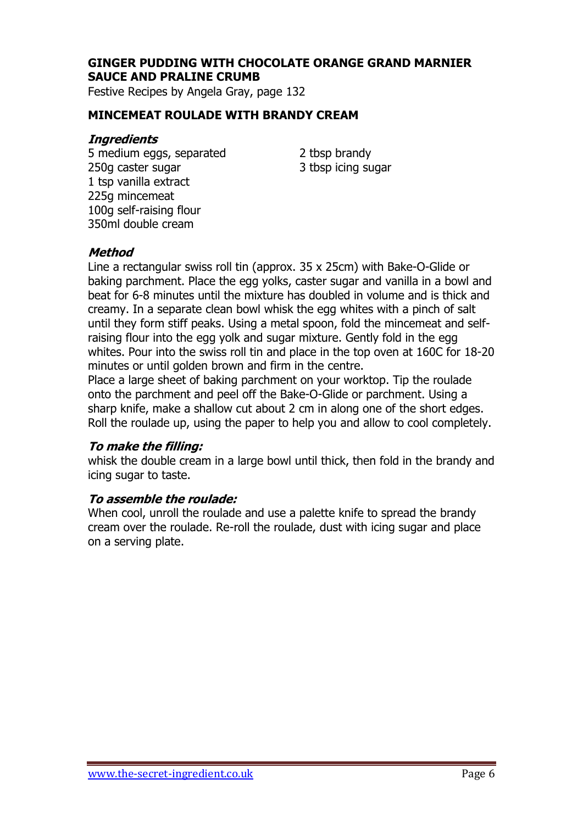## **GINGER PUDDING WITH CHOCOLATE ORANGE GRAND MARNIER SAUCE AND PRALINE CRUMB**

Festive Recipes by Angela Gray, page 132

### **MINCEMEAT ROULADE WITH BRANDY CREAM**

### **Ingredients**

5 medium eggs, separated 2 tbsp brandy 250g caster sugar 3 tbsp icing sugar 1 tsp vanilla extract 225g mincemeat 100g self-raising flour 350ml double cream

### **Method**

Line a rectangular swiss roll tin (approx. 35 x 25cm) with Bake-O-Glide or baking parchment. Place the egg yolks, caster sugar and vanilla in a bowl and beat for 6-8 minutes until the mixture has doubled in volume and is thick and creamy. In a separate clean bowl whisk the egg whites with a pinch of salt until they form stiff peaks. Using a metal spoon, fold the mincemeat and selfraising flour into the egg yolk and sugar mixture. Gently fold in the egg whites. Pour into the swiss roll tin and place in the top oven at 160C for 18-20 minutes or until golden brown and firm in the centre.

Place a large sheet of baking parchment on your worktop. Tip the roulade onto the parchment and peel off the Bake-O-Glide or parchment. Using a sharp knife, make a shallow cut about 2 cm in along one of the short edges. Roll the roulade up, using the paper to help you and allow to cool completely.

#### **To make the filling:**

whisk the double cream in a large bowl until thick, then fold in the brandy and icing sugar to taste.

#### **To assemble the roulade:**

When cool, unroll the roulade and use a palette knife to spread the brandy cream over the roulade. Re-roll the roulade, dust with icing sugar and place on a serving plate.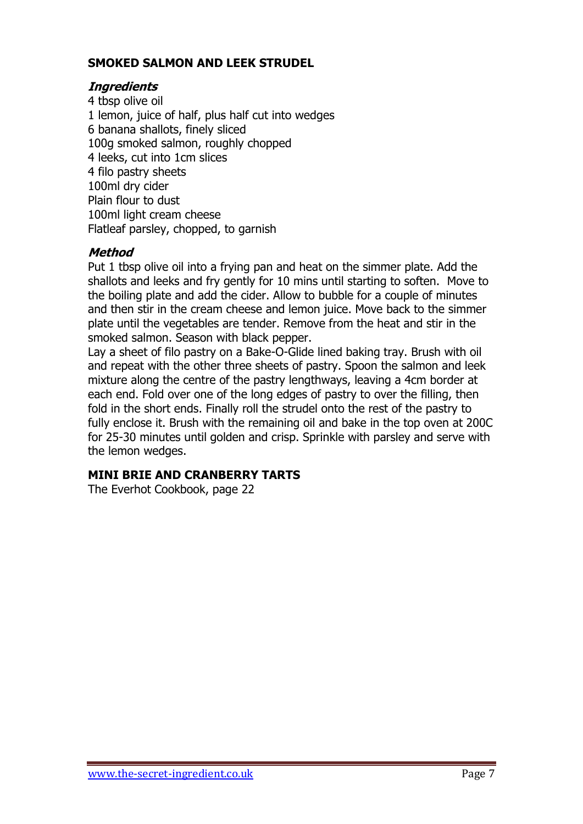### **SMOKED SALMON AND LEEK STRUDEL**

### **Ingredients**

4 tbsp olive oil 1 lemon, juice of half, plus half cut into wedges 6 banana shallots, finely sliced 100g smoked salmon, roughly chopped 4 leeks, cut into 1cm slices 4 filo pastry sheets 100ml dry cider Plain flour to dust 100ml light cream cheese Flatleaf parsley, chopped, to garnish

### **Method**

Put 1 tbsp olive oil into a frying pan and heat on the simmer plate. Add the shallots and leeks and fry gently for 10 mins until starting to soften. Move to the boiling plate and add the cider. Allow to bubble for a couple of minutes and then stir in the cream cheese and lemon juice. Move back to the simmer plate until the vegetables are tender. Remove from the heat and stir in the smoked salmon. Season with black pepper.

Lay a sheet of filo pastry on a Bake-O-Glide lined baking tray. Brush with oil and repeat with the other three sheets of pastry. Spoon the salmon and leek mixture along the centre of the pastry lengthways, leaving a 4cm border at each end. Fold over one of the long edges of pastry to over the filling, then fold in the short ends. Finally roll the strudel onto the rest of the pastry to fully enclose it. Brush with the remaining oil and bake in the top oven at 200C for 25-30 minutes until golden and crisp. Sprinkle with parsley and serve with the lemon wedges.

## **MINI BRIE AND CRANBERRY TARTS**

The Everhot Cookbook, page 22